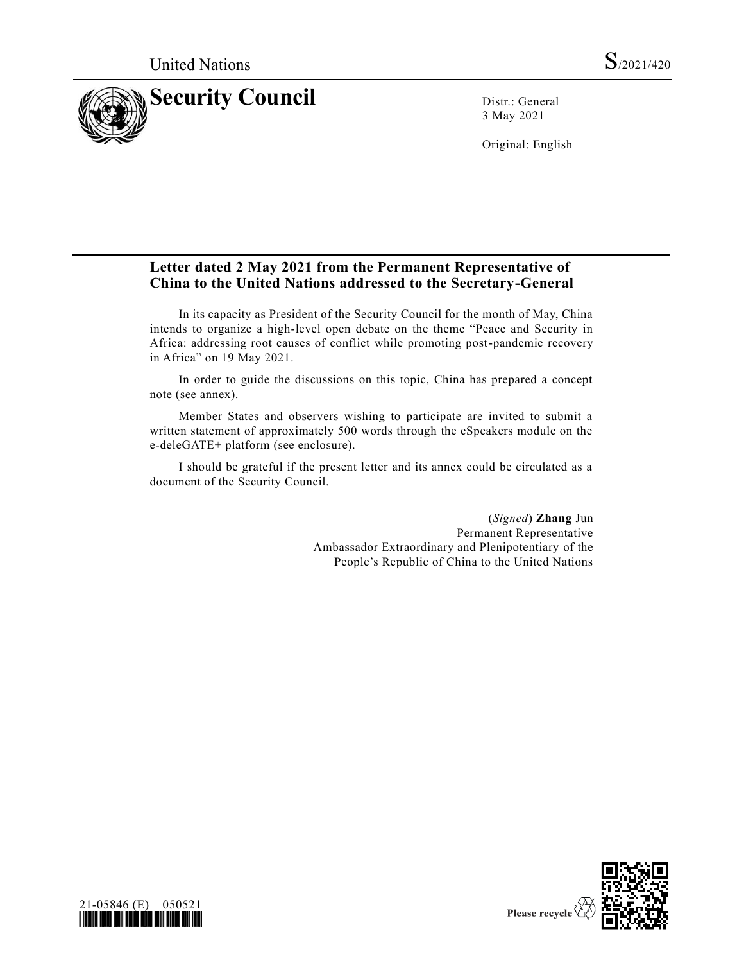

3 May 2021

Original: English

## **Letter dated 2 May 2021 from the Permanent Representative of China to the United Nations addressed to the Secretary-General**

In its capacity as President of the Security Council for the month of May, China intends to organize a high-level open debate on the theme "Peace and Security in Africa: addressing root causes of conflict while promoting post-pandemic recovery in Africa" on 19 May 2021.

In order to guide the discussions on this topic, China has prepared a concept note (see annex).

Member States and observers wishing to participate are invited to submit a written statement of approximately 500 words through the eSpeakers module on the e-deleGATE+ platform (see enclosure).

I should be grateful if the present letter and its annex could be circulated as a document of the Security Council.

> (*Signed*) **Zhang** Jun Permanent Representative Ambassador Extraordinary and Plenipotentiary of the People's Republic of China to the United Nations



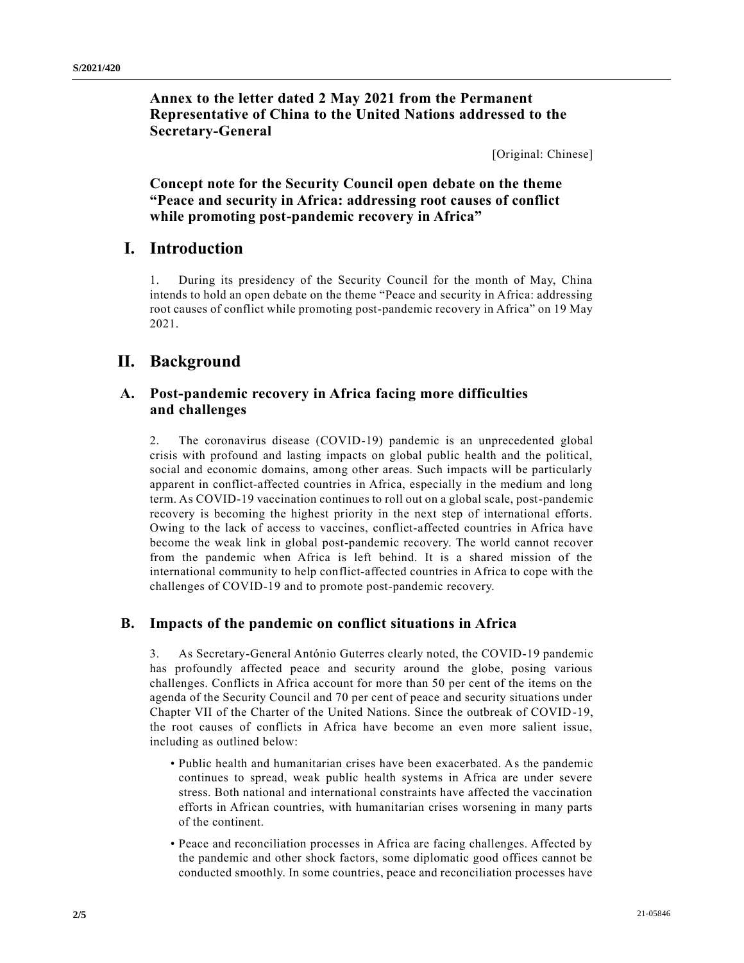**Annex to the letter dated 2 May 2021 from the Permanent Representative of China to the United Nations addressed to the Secretary-General**

[Original: Chinese]

**Concept note for the Security Council open debate on the theme "Peace and security in Africa: addressing root causes of conflict while promoting post-pandemic recovery in Africa"**

## **I. Introduction**

1. During its presidency of the Security Council for the month of May, China intends to hold an open debate on the theme "Peace and security in Africa: addressing root causes of conflict while promoting post-pandemic recovery in Africa" on 19 May 2021.

## **II. Background**

#### **A. Post-pandemic recovery in Africa facing more difficulties and challenges**

2. The coronavirus disease (COVID-19) pandemic is an unprecedented global crisis with profound and lasting impacts on global public health and the political, social and economic domains, among other areas. Such impacts will be particularly apparent in conflict-affected countries in Africa, especially in the medium and long term. As COVID-19 vaccination continues to roll out on a global scale, post-pandemic recovery is becoming the highest priority in the next step of international efforts. Owing to the lack of access to vaccines, conflict-affected countries in Africa have become the weak link in global post-pandemic recovery. The world cannot recover from the pandemic when Africa is left behind. It is a shared mission of the international community to help conflict-affected countries in Africa to cope with the challenges of COVID-19 and to promote post-pandemic recovery.

#### **B. Impacts of the pandemic on conflict situations in Africa**

3. As Secretary-General António Guterres clearly noted, the COVID-19 pandemic has profoundly affected peace and security around the globe, posing various challenges. Conflicts in Africa account for more than 50 per cent of the items on the agenda of the Security Council and 70 per cent of peace and security situations under Chapter VII of the Charter of the United Nations. Since the outbreak of COVID-19, the root causes of conflicts in Africa have become an even more salient issue, including as outlined below:

- Public health and humanitarian crises have been exacerbated. As the pandemic continues to spread, weak public health systems in Africa are under severe stress. Both national and international constraints have affected the vaccination efforts in African countries, with humanitarian crises worsening in many parts of the continent.
- Peace and reconciliation processes in Africa are facing challenges. Affected by the pandemic and other shock factors, some diplomatic good offices cannot be conducted smoothly. In some countries, peace and reconciliation processes have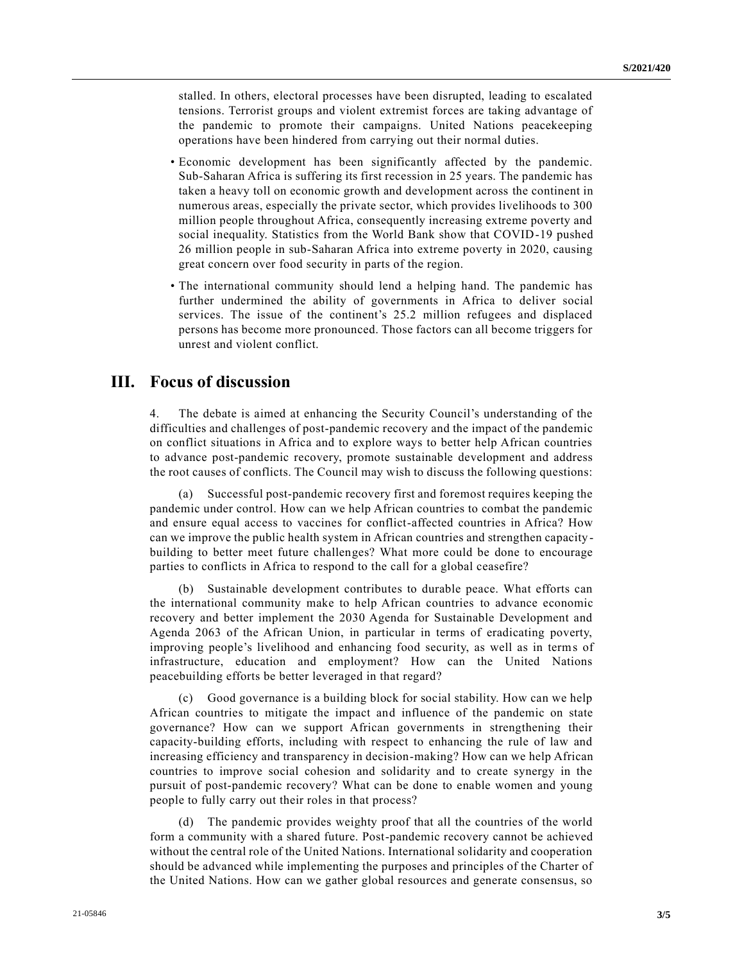stalled. In others, electoral processes have been disrupted, leading to escalated tensions. Terrorist groups and violent extremist forces are taking advantage of the pandemic to promote their campaigns. United Nations peacekeeping operations have been hindered from carrying out their normal duties.

- Economic development has been significantly affected by the pandemic. Sub-Saharan Africa is suffering its first recession in 25 years. The pandemic has taken a heavy toll on economic growth and development across the continent in numerous areas, especially the private sector, which provides livelihoods to 300 million people throughout Africa, consequently increasing extreme poverty and social inequality. Statistics from the World Bank show that COVID-19 pushed 26 million people in sub-Saharan Africa into extreme poverty in 2020, causing great concern over food security in parts of the region.
- The international community should lend a helping hand. The pandemic has further undermined the ability of governments in Africa to deliver social services. The issue of the continent's 25.2 million refugees and displaced persons has become more pronounced. Those factors can all become triggers for unrest and violent conflict.

## **III. Focus of discussion**

4. The debate is aimed at enhancing the Security Council's understanding of the difficulties and challenges of post-pandemic recovery and the impact of the pandemic on conflict situations in Africa and to explore ways to better help African countries to advance post-pandemic recovery, promote sustainable development and address the root causes of conflicts. The Council may wish to discuss the following questions:

(a) Successful post-pandemic recovery first and foremost requires keeping the pandemic under control. How can we help African countries to combat the pandemic and ensure equal access to vaccines for conflict-affected countries in Africa? How can we improve the public health system in African countries and strengthen capacity building to better meet future challenges? What more could be done to encourage parties to conflicts in Africa to respond to the call for a global ceasefire?

(b) Sustainable development contributes to durable peace. What efforts can the international community make to help African countries to advance economic recovery and better implement the 2030 Agenda for Sustainable Development and Agenda 2063 of the African Union, in particular in terms of eradicating poverty, improving people's livelihood and enhancing food security, as well as in terms of infrastructure, education and employment? How can the United Nations peacebuilding efforts be better leveraged in that regard?

(c) Good governance is a building block for social stability. How can we help African countries to mitigate the impact and influence of the pandemic on state governance? How can we support African governments in strengthening their capacity-building efforts, including with respect to enhancing the rule of law and increasing efficiency and transparency in decision-making? How can we help African countries to improve social cohesion and solidarity and to create synergy in the pursuit of post-pandemic recovery? What can be done to enable women and young people to fully carry out their roles in that process?

(d) The pandemic provides weighty proof that all the countries of the world form a community with a shared future. Post-pandemic recovery cannot be achieved without the central role of the United Nations. International solidarity and cooperation should be advanced while implementing the purposes and principles of the Charter of the United Nations. How can we gather global resources and generate consensus, so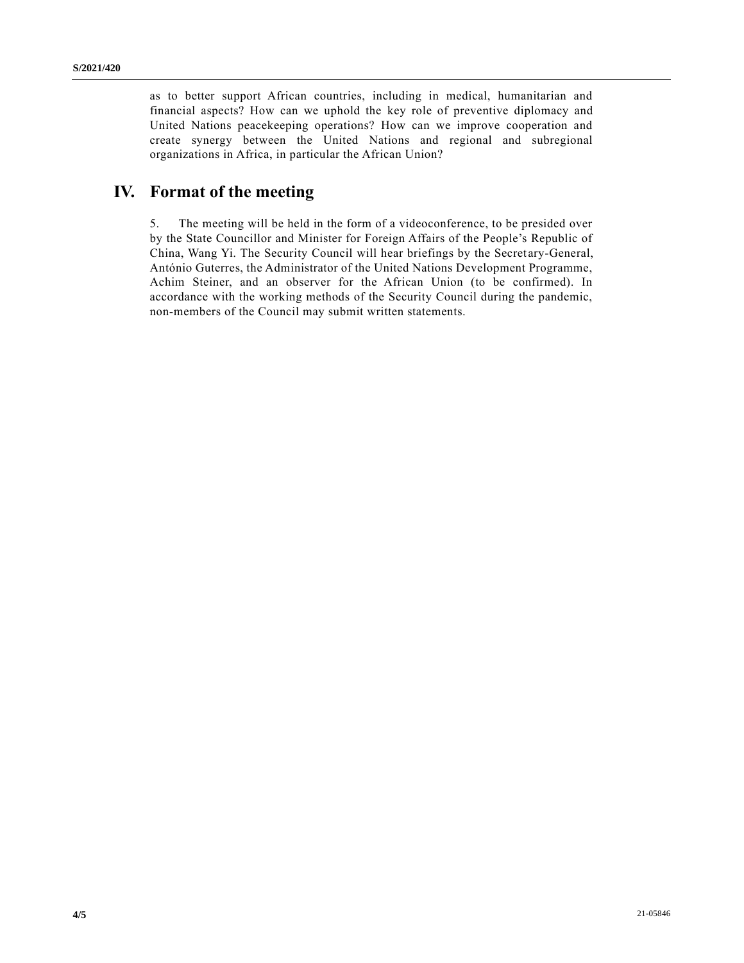as to better support African countries, including in medical, humanitarian and financial aspects? How can we uphold the key role of preventive diplomacy and United Nations peacekeeping operations? How can we improve cooperation and create synergy between the United Nations and regional and subregional organizations in Africa, in particular the African Union?

# **IV. Format of the meeting**

5. The meeting will be held in the form of a videoconference, to be presided over by the State Councillor and Minister for Foreign Affairs of the People's Republic of China, Wang Yi. The Security Council will hear briefings by the Secretary-General, António Guterres, the Administrator of the United Nations Development Programme, Achim Steiner, and an observer for the African Union (to be confirmed). In accordance with the working methods of the Security Council during the pandemic, non-members of the Council may submit written statements.